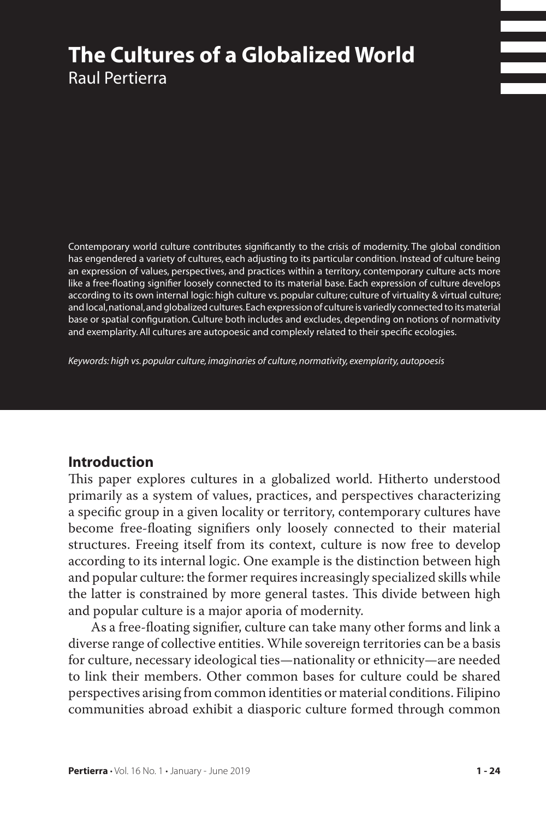# **The Cultures of a Globalized World**  Raul Pertierra

Contemporary world culture contributes significantly to the crisis of modernity. The global condition has engendered a variety of cultures, each adjusting to its particular condition. Instead of culture being an expression of values, perspectives, and practices within a territory, contemporary culture acts more like a free-floating signifier loosely connected to its material base. Each expression of culture develops according to its own internal logic: high culture vs. popular culture; culture of virtuality & virtual culture; and local, national, and globalized cultures. Each expression of culture is variedly connected to its material base or spatial configuration. Culture both includes and excludes, depending on notions of normativity and exemplarity. All cultures are autopoesic and complexly related to their specific ecologies.

*Keywords: high vs. popular culture, imaginaries of culture, normativity, exemplarity, autopoesis*

#### **Introduction**

This paper explores cultures in a globalized world. Hitherto understood primarily as a system of values, practices, and perspectives characterizing a specific group in a given locality or territory, contemporary cultures have become free-floating signifiers only loosely connected to their material structures. Freeing itself from its context, culture is now free to develop according to its internal logic. One example is the distinction between high and popular culture: the former requires increasingly specialized skills while the latter is constrained by more general tastes. This divide between high and popular culture is a major aporia of modernity.

As a free-floating signifier, culture can take many other forms and link a diverse range of collective entities. While sovereign territories can be a basis for culture, necessary ideological ties—nationality or ethnicity—are needed to link their members. Other common bases for culture could be shared perspectives arising from common identities or material conditions. Filipino communities abroad exhibit a diasporic culture formed through common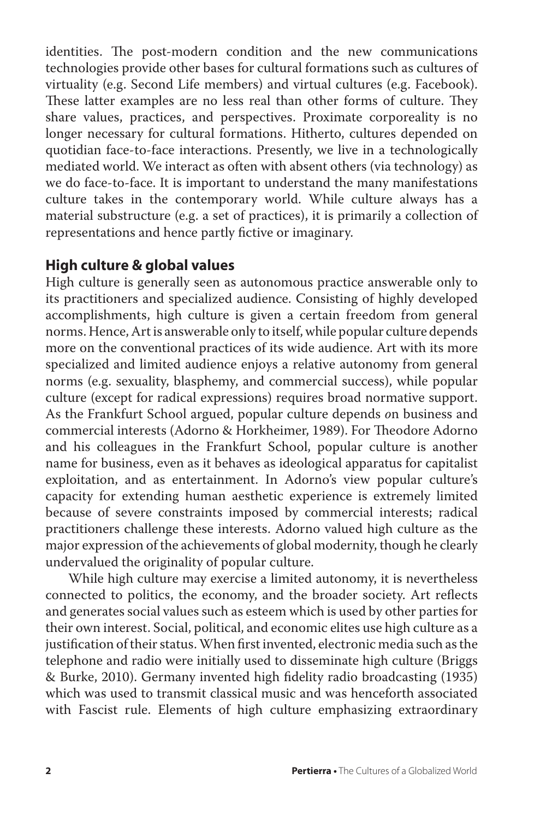identities. The post-modern condition and the new communications technologies provide other bases for cultural formations such as cultures of virtuality (e.g. Second Life members) and virtual cultures (e.g. Facebook). These latter examples are no less real than other forms of culture. They share values, practices, and perspectives. Proximate corporeality is no longer necessary for cultural formations. Hitherto, cultures depended on quotidian face-to-face interactions. Presently, we live in a technologically mediated world. We interact as often with absent others (via technology) as we do face-to-face. It is important to understand the many manifestations culture takes in the contemporary world. While culture always has a material substructure (e.g. a set of practices), it is primarily a collection of representations and hence partly fictive or imaginary.

## **High culture & global values**

High culture is generally seen as autonomous practice answerable only to its practitioners and specialized audience. Consisting of highly developed accomplishments, high culture is given a certain freedom from general norms. Hence, Art is answerable only to itself, while popular culture depends more on the conventional practices of its wide audience. Art with its more specialized and limited audience enjoys a relative autonomy from general norms (e.g. sexuality, blasphemy, and commercial success), while popular culture (except for radical expressions) requires broad normative support. As the Frankfurt School argued, popular culture depends *o*n business and commercial interests (Adorno & Horkheimer, 1989). For Theodore Adorno and his colleagues in the Frankfurt School, popular culture is another name for business, even as it behaves as ideological apparatus for capitalist exploitation, and as entertainment. In Adorno's view popular culture's capacity for extending human aesthetic experience is extremely limited because of severe constraints imposed by commercial interests; radical practitioners challenge these interests. Adorno valued high culture as the major expression of the achievements of global modernity, though he clearly undervalued the originality of popular culture.

While high culture may exercise a limited autonomy, it is nevertheless connected to politics, the economy, and the broader society. Art reflects and generates social values such as esteem which is used by other parties for their own interest. Social, political, and economic elites use high culture as a justification of their status. When first invented, electronic media such as the telephone and radio were initially used to disseminate high culture (Briggs & Burke, 2010). Germany invented high fidelity radio broadcasting (1935) which was used to transmit classical music and was henceforth associated with Fascist rule. Elements of high culture emphasizing extraordinary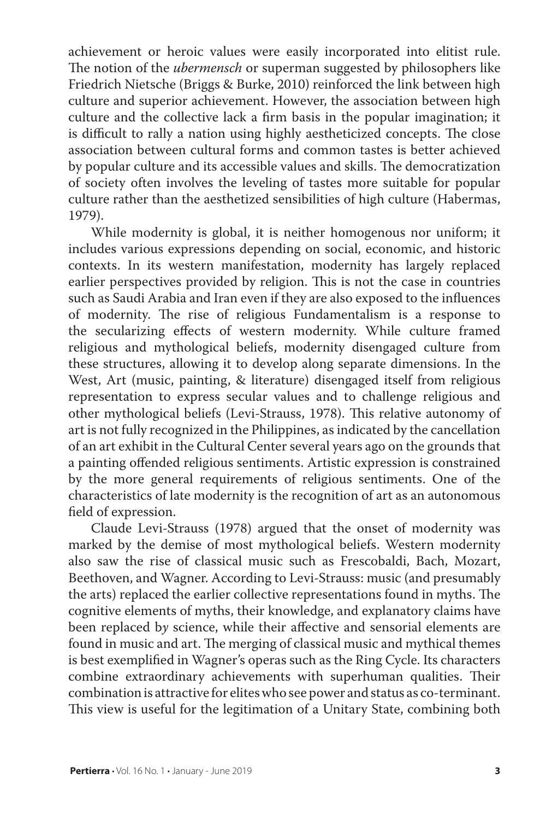achievement or heroic values were easily incorporated into elitist rule. The notion of the *ubermensch* or superman suggested by philosophers like Friedrich Nietsche (Briggs & Burke, 2010) reinforced the link between high culture and superior achievement. However, the association between high culture and the collective lack a firm basis in the popular imagination; it is difficult to rally a nation using highly aestheticized concepts. The close association between cultural forms and common tastes is better achieved by popular culture and its accessible values and skills. The democratization of society often involves the leveling of tastes more suitable for popular culture rather than the aesthetized sensibilities of high culture (Habermas, 1979).

While modernity is global, it is neither homogenous nor uniform; it includes various expressions depending on social, economic, and historic contexts. In its western manifestation, modernity has largely replaced earlier perspectives provided by religion. This is not the case in countries such as Saudi Arabia and Iran even if they are also exposed to the influences of modernity. The rise of religious Fundamentalism is a response to the secularizing effects of western modernity. While culture framed religious and mythological beliefs, modernity disengaged culture from these structures, allowing it to develop along separate dimensions. In the West, Art (music, painting, & literature) disengaged itself from religious representation to express secular values and to challenge religious and other mythological beliefs (Levi-Strauss, 1978). This relative autonomy of art is not fully recognized in the Philippines, as indicated by the cancellation of an art exhibit in the Cultural Center several years ago on the grounds that a painting offended religious sentiments. Artistic expression is constrained by the more general requirements of religious sentiments. One of the characteristics of late modernity is the recognition of art as an autonomous field of expression.

Claude Levi-Strauss (1978) argued that the onset of modernity was marked by the demise of most mythological beliefs. Western modernity also saw the rise of classical music such as Frescobaldi, Bach, Mozart, Beethoven, and Wagner. According to Levi-Strauss: music (and presumably the arts) replaced the earlier collective representations found in myths. The cognitive elements of myths, their knowledge, and explanatory claims have been replaced b*y* science, while their affective and sensorial elements are found in music and art. The merging of classical music and mythical themes is best exemplified in Wagner's operas such as the Ring Cycle. Its characters combine extraordinary achievements with superhuman qualities. Their combination is attractive for elites who see power and status as co-terminant. This view is useful for the legitimation of a Unitary State, combining both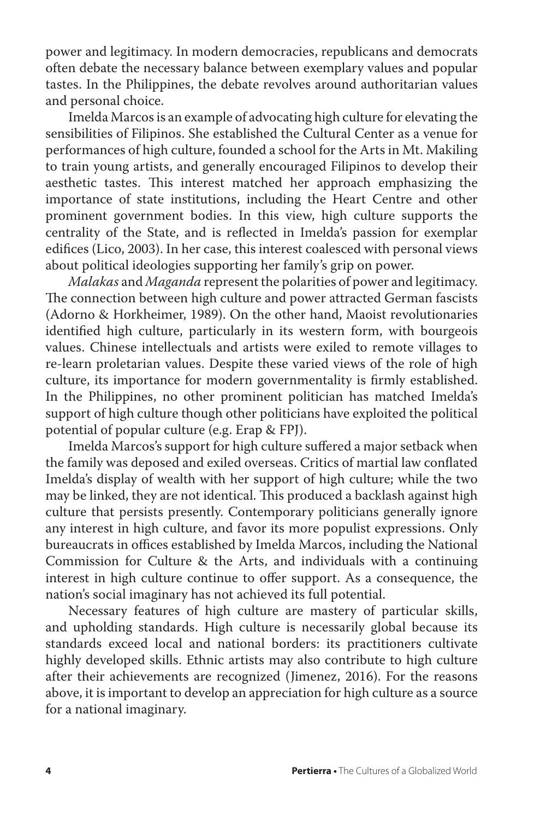power and legitimacy. In modern democracies, republicans and democrats often debate the necessary balance between exemplary values and popular tastes. In the Philippines, the debate revolves around authoritarian values and personal choice.

Imelda Marcos is an example of advocating high culture for elevating the sensibilities of Filipinos. She established the Cultural Center as a venue for performances of high culture, founded a school for the Arts in Mt. Makiling to train young artists, and generally encouraged Filipinos to develop their aesthetic tastes. This interest matched her approach emphasizing the importance of state institutions, including the Heart Centre and other prominent government bodies. In this view, high culture supports the centrality of the State, and is reflected in Imelda's passion for exemplar edifices (Lico, 2003). In her case, this interest coalesced with personal views about political ideologies supporting her family's grip on power.

*Malakas* and *Maganda* represent the polarities of power and legitimacy. The connection between high culture and power attracted German fascists (Adorno & Horkheimer, 1989). On the other hand, Maoist revolutionaries identified high culture, particularly in its western form, with bourgeois values. Chinese intellectuals and artists were exiled to remote villages to re-learn proletarian values. Despite these varied views of the role of high culture, its importance for modern governmentality is firmly established. In the Philippines, no other prominent politician has matched Imelda's support of high culture though other politicians have exploited the political potential of popular culture (e.g. Erap & FPJ).

Imelda Marcos's support for high culture suffered a major setback when the family was deposed and exiled overseas. Critics of martial law conflated Imelda's display of wealth with her support of high culture; while the two may be linked, they are not identical. This produced a backlash against high culture that persists presently. Contemporary politicians generally ignore any interest in high culture, and favor its more populist expressions. Only bureaucrats in offices established by Imelda Marcos, including the National Commission for Culture & the Arts, and individuals with a continuing interest in high culture continue to offer support. As a consequence, the nation's social imaginary has not achieved its full potential.

Necessary features of high culture are mastery of particular skills, and upholding standards. High culture is necessarily global because its standards exceed local and national borders: its practitioners cultivate highly developed skills. Ethnic artists may also contribute to high culture after their achievements are recognized (Jimenez, 2016). For the reasons above, it is important to develop an appreciation for high culture as a source for a national imaginary.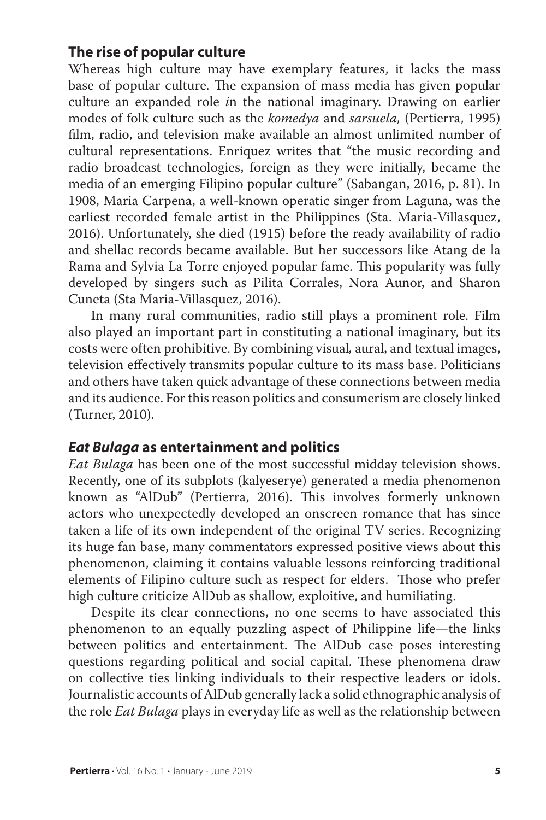## **The rise of popular culture**

Whereas high culture may have exemplary features, it lacks the mass base of popular culture. The expansion of mass media has given popular culture an expanded role *i*n the national imaginary. Drawing on earlier modes of folk culture such as the *komedya* and *sarsuela,* (Pertierra, 1995) film, radio, and television make available an almost unlimited number of cultural representations. Enriquez writes that "the music recording and radio broadcast technologies, foreign as they were initially, became the media of an emerging Filipino popular culture" (Sabangan, 2016, p. 81). In 1908, Maria Carpena, a well-known operatic singer from Laguna, was the earliest recorded female artist in the Philippines (Sta. Maria-Villasquez, 2016). Unfortunately, she died (1915) before the ready availability of radio and shellac records became available. But her successors like Atang de la Rama and Sylvia La Torre enjoyed popular fame. This popularity was fully developed by singers such as Pilita Corrales, Nora Aunor, and Sharon Cuneta (Sta Maria-Villasquez, 2016).

In many rural communities, radio still plays a prominent role. Film also played an important part in constituting a national imaginary, but its costs were often prohibitive. By combining visual*,* aural, and textual images, television effectively transmits popular culture to its mass base. Politicians and others have taken quick advantage of these connections between media and its audience. For this reason politics and consumerism are closely linked (Turner, 2010).

#### *Eat Bulaga* **as entertainment and politics**

*Eat Bulaga* has been one of the most successful midday television shows. Recently, one of its subplots (kalyeserye) generated a media phenomenon known as "AlDub" (Pertierra, 2016). This involves formerly unknown actors who unexpectedly developed an onscreen romance that has since taken a life of its own independent of the original TV series. Recognizing its huge fan base, many commentators expressed positive views about this phenomenon, claiming it contains valuable lessons reinforcing traditional elements of Filipino culture such as respect for elders. Those who prefer high culture criticize AlDub as shallow, exploitive, and humiliating.

Despite its clear connections, no one seems to have associated this phenomenon to an equally puzzling aspect of Philippine life—the links between politics and entertainment. The AlDub case poses interesting questions regarding political and social capital. These phenomena draw on collective ties linking individuals to their respective leaders or idols. Journalistic accounts of AlDub generally lack a solid ethnographic analysis of the role *Eat Bulaga* plays in everyday life as well as the relationship between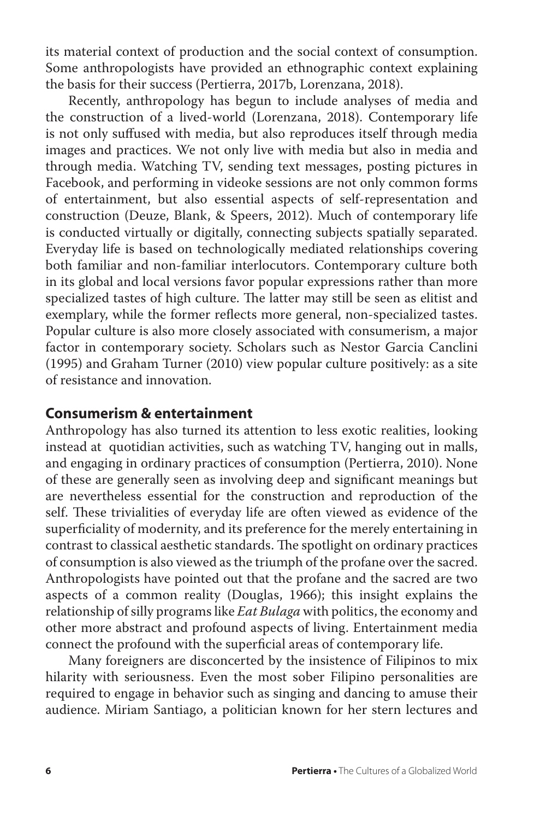its material context of production and the social context of consumption. Some anthropologists have provided an ethnographic context explaining the basis for their success (Pertierra, 2017b, Lorenzana, 2018).

Recently, anthropology has begun to include analyses of media and the construction of a lived-world (Lorenzana, 2018). Contemporary life is not only suffused with media, but also reproduces itself through media images and practices. We not only live with media but also in media and through media. Watching TV, sending text messages, posting pictures in Facebook, and performing in videoke sessions are not only common forms of entertainment, but also essential aspects of self-representation and construction (Deuze, Blank, & Speers, 2012). Much of contemporary life is conducted virtually or digitally, connecting subjects spatially separated. Everyday life is based on technologically mediated relationships covering both familiar and non-familiar interlocutors. Contemporary culture both in its global and local versions favor popular expressions rather than more specialized tastes of high culture. The latter may still be seen as elitist and exemplary, while the former reflects more general, non-specialized tastes. Popular culture is also more closely associated with consumerism, a major factor in contemporary society. Scholars such as Nestor Garcia Canclini (1995) and Graham Turner (2010) view popular culture positively: as a site of resistance and innovation.

## **Consumerism & entertainment**

Anthropology has also turned its attention to less exotic realities, looking instead at quotidian activities, such as watching TV, hanging out in malls, and engaging in ordinary practices of consumption (Pertierra, 2010). None of these are generally seen as involving deep and significant meanings but are nevertheless essential for the construction and reproduction of the self. These trivialities of everyday life are often viewed as evidence of the superficiality of modernity, and its preference for the merely entertaining in contrast to classical aesthetic standards. The spotlight on ordinary practices of consumption is also viewed as the triumph of the profane over the sacred. Anthropologists have pointed out that the profane and the sacred are two aspects of a common reality (Douglas, 1966); this insight explains the relationship of silly programs like *Eat Bulaga* with politics, the economy and other more abstract and profound aspects of living. Entertainment media connect the profound with the superficial areas of contemporary life.

Many foreigners are disconcerted by the insistence of Filipinos to mix hilarity with seriousness. Even the most sober Filipino personalities are required to engage in behavior such as singing and dancing to amuse their audience. Miriam Santiago, a politician known for her stern lectures and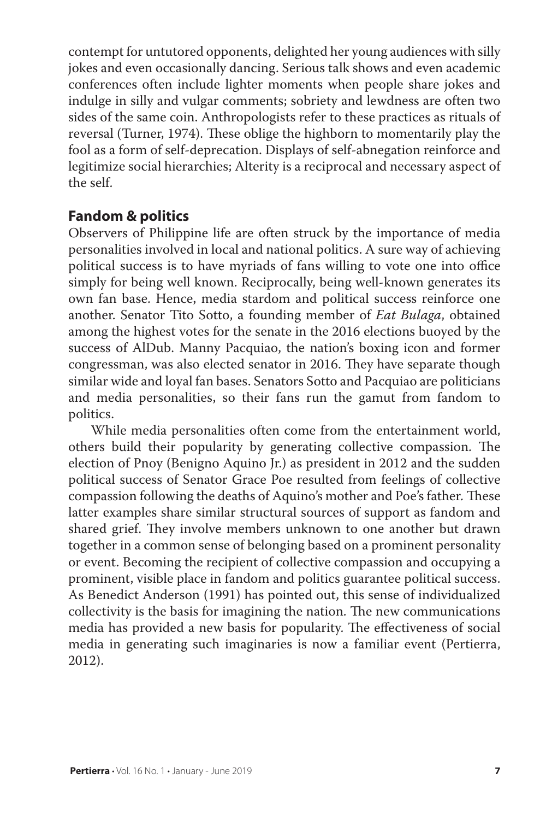contempt for untutored opponents, delighted her young audiences with silly jokes and even occasionally dancing. Serious talk shows and even academic conferences often include lighter moments when people share jokes and indulge in silly and vulgar comments; sobriety and lewdness are often two sides of the same coin. Anthropologists refer to these practices as rituals of reversal (Turner, 1974). These oblige the highborn to momentarily play the fool as a form of self-deprecation. Displays of self-abnegation reinforce and legitimize social hierarchies; Alterity is a reciprocal and necessary aspect of the self.

## **Fandom & politics**

Observers of Philippine life are often struck by the importance of media personalities involved in local and national politics. A sure way of achieving political success is to have myriads of fans willing to vote one into office simply for being well known. Reciprocally, being well-known generates its own fan base. Hence, media stardom and political success reinforce one another. Senator Tito Sotto, a founding member of *Eat Bulaga*, obtained among the highest votes for the senate in the 2016 elections buoyed by the success of AlDub. Manny Pacquiao, the nation's boxing icon and former congressman, was also elected senator in 2016. They have separate though similar wide and loyal fan bases. Senators Sotto and Pacquiao are politicians and media personalities, so their fans run the gamut from fandom to politics.

While media personalities often come from the entertainment world, others build their popularity by generating collective compassion. The election of Pnoy (Benigno Aquino Jr.) as president in 2012 and the sudden political success of Senator Grace Poe resulted from feelings of collective compassion following the deaths of Aquino's mother and Poe's father*.* These latter examples share similar structural sources of support as fandom and shared grief. They involve members unknown to one another but drawn together in a common sense of belonging based on a prominent personality or event. Becoming the recipient of collective compassion and occupying a prominent, visible place in fandom and politics guarantee political success. As Benedict Anderson (1991) has pointed out, this sense of individualized collectivity is the basis for imagining the nation. The new communications media has provided a new basis for popularity. The effectiveness of social media in generating such imaginaries is now a familiar event (Pertierra, 2012).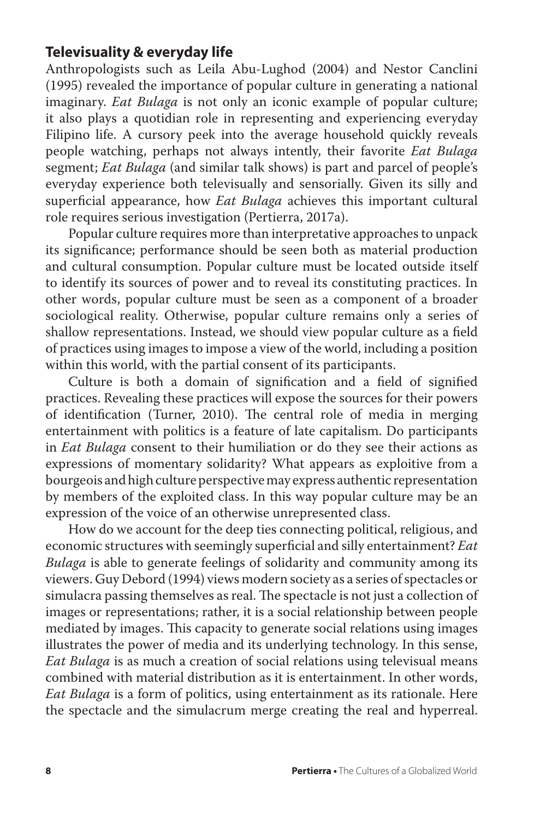## **Televisuality & everyday life**

Anthropologists such as Leila Abu-Lughod (2004) and Nestor Canclini (1995) revealed the importance of popular culture in generating a national imaginary. *Eat Bulaga* is not only an iconic example of popular culture; it also plays a quotidian role in representing and experiencing everyday Filipino life. A cursory peek into the average household quickly reveals people watching, perhaps not always intently, their favorite *Eat Bulaga*  segment; *Eat Bulaga* (and similar talk shows) is part and parcel of people's everyday experience both televisually and sensorially. Given its silly and superficial appearance, how *Eat Bulaga* achieves this important cultural role requires serious investigation (Pertierra, 2017a).

Popular culture requires more than interpretative approaches to unpack its significance; performance should be seen both as material production and cultural consumption. Popular culture must be located outside itself to identify its sources of power and to reveal its constituting practices. In other words, popular culture must be seen as a component of a broader sociological reality. Otherwise, popular culture remains only a series of shallow representations. Instead, we should view popular culture as a field of practices using images to impose a view of the world, including a position within this world, with the partial consent of its participants.

Culture is both a domain of signification and a field of signified practices. Revealing these practices will expose the sources for their powers of identification (Turner, 2010). The central role of media in merging entertainment with politics is a feature of late capitalism. Do participants in *Eat Bulaga* consent to their humiliation or do they see their actions as expressions of momentary solidarity? What appears as exploitive from a bourgeois and high culture perspective may express authentic representation by members of the exploited class. In this way popular culture may be an expression of the voice of an otherwise unrepresented class.

How do we account for the deep ties connecting political, religious, and economic structures with seemingly superficial and silly entertainment? *Eat Bulaga* is able to generate feelings of solidarity and community among its viewers. Guy Debord (1994) views modern society as a series of spectacles or simulacra passing themselves as real. The spectacle is not just a collection of images or representations; rather, it is a social relationship between people mediated by images. This capacity to generate social relations using images illustrates the power of media and its underlying technology. In this sense, *Eat Bulaga* is as much a creation of social relations using televisual means combined with material distribution as it is entertainment. In other words, *Eat Bulaga* is a form of politics, using entertainment as its rationale. Here the spectacle and the simulacrum merge creating the real and hyperreal.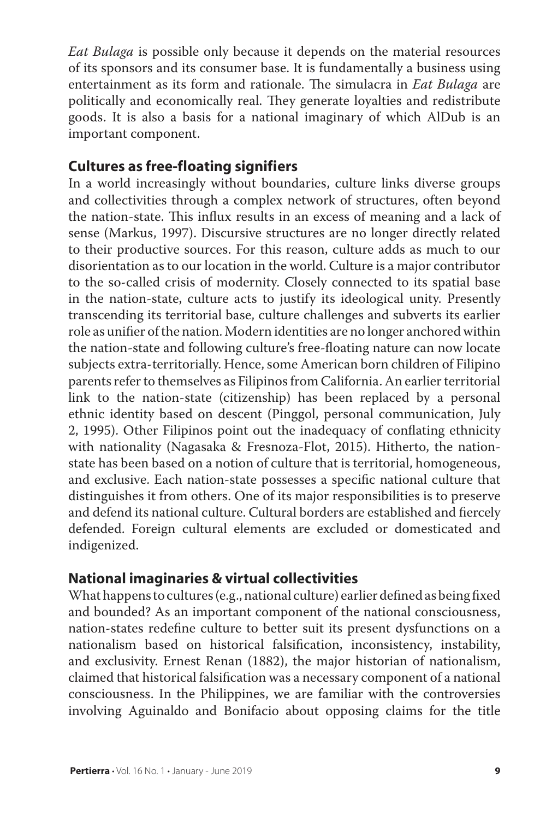*Eat Bulaga* is possible only because it depends on the material resources of its sponsors and its consumer base. It is fundamentally a business using entertainment as its form and rationale. The simulacra in *Eat Bulaga* are politically and economically real. They generate loyalties and redistribute goods. It is also a basis for a national imaginary of which AlDub is an important component.

## **Cultures as free-floating signifiers**

In a world increasingly without boundaries, culture links diverse groups and collectivities through a complex network of structures, often beyond the nation-state. This influx results in an excess of meaning and a lack of sense (Markus, 1997). Discursive structures are no longer directly related to their productive sources. For this reason, culture adds as much to our disorientation as to our location in the world. Culture is a major contributor to the so-called crisis of modernity. Closely connected to its spatial base in the nation-state, culture acts to justify its ideological unity. Presently transcending its territorial base, culture challenges and subverts its earlier role as unifier of the nation. Modern identities are no longer anchored within the nation-state and following culture's free-floating nature can now locate subjects extra-territorially. Hence, some American born children of Filipino parents refer to themselves as Filipinos from California. An earlier territorial link to the nation-state (citizenship) has been replaced by a personal ethnic identity based on descent (Pinggol, personal communication, July 2, 1995). Other Filipinos point out the inadequacy of conflating ethnicity with nationality (Nagasaka & Fresnoza-Flot, 2015). Hitherto, the nationstate has been based on a notion of culture that is territorial, homogeneous, and exclusive. Each nation-state possesses a specific national culture that distinguishes it from others. One of its major responsibilities is to preserve and defend its national culture. Cultural borders are established and fiercely defended. Foreign cultural elements are excluded or domesticated and indigenized.

## **National imaginaries & virtual collectivities**

What happens to cultures (e.g., national culture) earlier defined as being fixed and bounded? As an important component of the national consciousness, nation-states redefine culture to better suit its present dysfunctions on a nationalism based on historical falsification, inconsistency, instability, and exclusivity. Ernest Renan (1882), the major historian of nationalism, claimed that historical falsification was a necessary component of a national consciousness. In the Philippines, we are familiar with the controversies involving Aguinaldo and Bonifacio about opposing claims for the title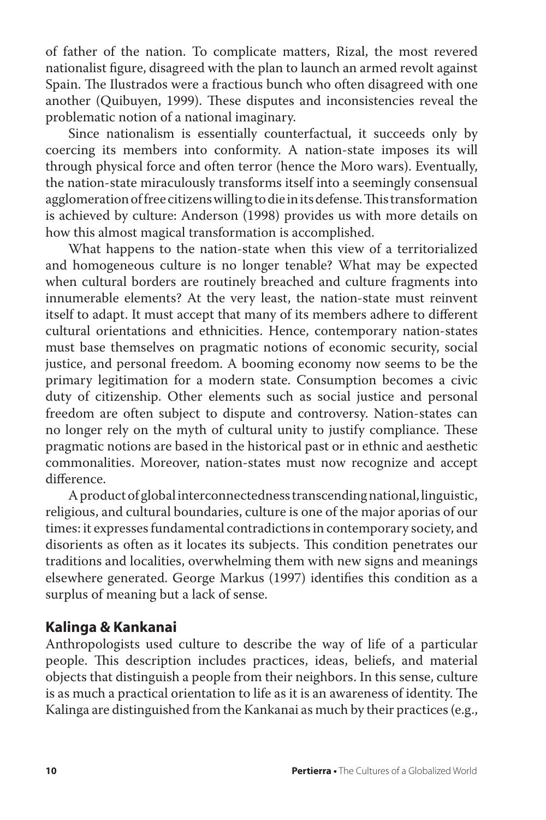of father of the nation. To complicate matters, Rizal, the most revered nationalist figure, disagreed with the plan to launch an armed revolt against Spain. The Ilustrados were a fractious bunch who often disagreed with one another (Quibuyen, 1999). These disputes and inconsistencies reveal the problematic notion of a national imaginary.

Since nationalism is essentially counterfactual, it succeeds only by coercing its members into conformity. A nation-state imposes its will through physical force and often terror (hence the Moro wars). Eventually, the nation-state miraculously transforms itself into a seemingly consensual agglomeration of free citizens willing to die in its defense. This transformation is achieved by culture: Anderson (1998) provides us with more details on how this almost magical transformation is accomplished.

What happens to the nation-state when this view of a territorialized and homogeneous culture is no longer tenable? What may be expected when cultural borders are routinely breached and culture fragments into innumerable elements? At the very least, the nation-state must reinvent itself to adapt. It must accept that many of its members adhere to different cultural orientations and ethnicities. Hence, contemporary nation-states must base themselves on pragmatic notions of economic security, social justice, and personal freedom. A booming economy now seems to be the primary legitimation for a modern state. Consumption becomes a civic duty of citizenship. Other elements such as social justice and personal freedom are often subject to dispute and controversy. Nation-states can no longer rely on the myth of cultural unity to justify compliance. These pragmatic notions are based in the historical past or in ethnic and aesthetic commonalities. Moreover, nation-states must now recognize and accept difference.

A product of global interconnectedness transcending national, linguistic, religious, and cultural boundaries, culture is one of the major aporias of our times: it expresses fundamental contradictions in contemporary society, and disorients as often as it locates its subjects. This condition penetrates our traditions and localities, overwhelming them with new signs and meanings elsewhere generated. George Markus (1997) identifies this condition as a surplus of meaning but a lack of sense.

## **Kalinga & Kankanai**

Anthropologists used culture to describe the way of life of a particular people. This description includes practices, ideas, beliefs, and material objects that distinguish a people from their neighbors. In this sense, culture is as much a practical orientation to life as it is an awareness of identity. The Kalinga are distinguished from the Kankanai as much by their practices (e.g.,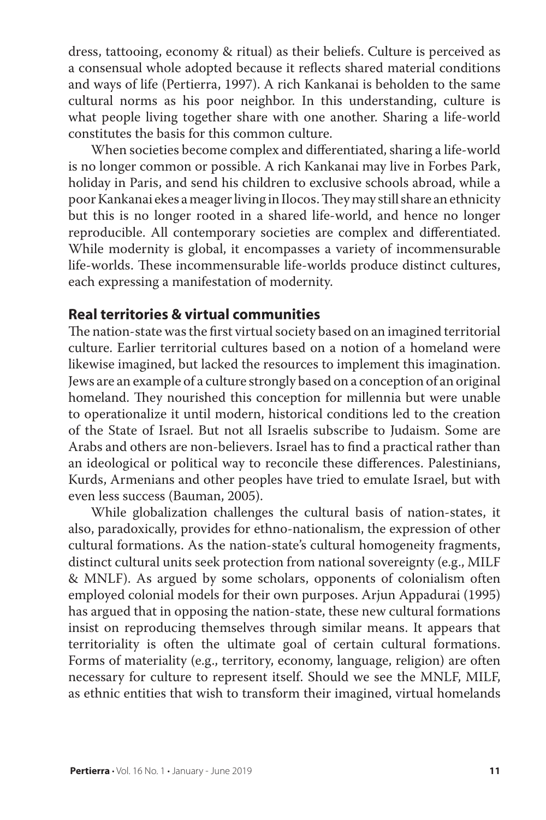dress, tattooing, economy & ritual) as their beliefs. Culture is perceived as a consensual whole adopted because it reflects shared material conditions and ways of life (Pertierra, 1997). A rich Kankanai is beholden to the same cultural norms as his poor neighbor. In this understanding, culture is what people living together share with one another. Sharing a life-world constitutes the basis for this common culture.

When societies become complex and differentiated, sharing a life-world is no longer common or possible. A rich Kankanai may live in Forbes Park, holiday in Paris, and send his children to exclusive schools abroad, while a poor Kankanai ekes a meager living in Ilocos. They may still share an ethnicity but this is no longer rooted in a shared life-world, and hence no longer reproducible. All contemporary societies are complex and differentiated. While modernity is global, it encompasses a variety of incommensurable life-worlds. These incommensurable life-worlds produce distinct cultures, each expressing a manifestation of modernity.

## **Real territories & virtual communities**

The nation-state was the first virtual society based on an imagined territorial culture. Earlier territorial cultures based on a notion of a homeland were likewise imagined, but lacked the resources to implement this imagination. Jews are an example of a culture strongly based on a conception of an original homeland. They nourished this conception for millennia but were unable to operationalize it until modern, historical conditions led to the creation of the State of Israel. But not all Israelis subscribe to Judaism. Some are Arabs and others are non-believers. Israel has to find a practical rather than an ideological or political way to reconcile these differences. Palestinians, Kurds, Armenians and other peoples have tried to emulate Israel, but with even less success (Bauman, 2005).

While globalization challenges the cultural basis of nation-states, it also, paradoxically, provides for ethno-nationalism, the expression of other cultural formations. As the nation-state's cultural homogeneity fragments, distinct cultural units seek protection from national sovereignty (e.g., MILF & MNLF). As argued by some scholars, opponents of colonialism often employed colonial models for their own purposes. Arjun Appadurai (1995) has argued that in opposing the nation-state, these new cultural formations insist on reproducing themselves through similar means. It appears that territoriality is often the ultimate goal of certain cultural formations. Forms of materiality (e.g., territory, economy, language, religion) are often necessary for culture to represent itself. Should we see the MNLF, MILF, as ethnic entities that wish to transform their imagined, virtual homelands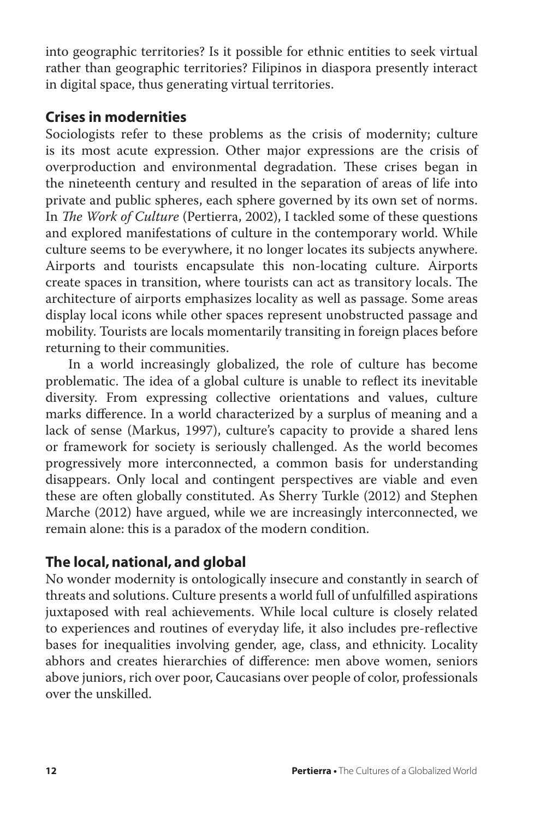into geographic territories? Is it possible for ethnic entities to seek virtual rather than geographic territories? Filipinos in diaspora presently interact in digital space, thus generating virtual territories.

# **Crises in modernities**

Sociologists refer to these problems as the crisis of modernity; culture is its most acute expression. Other major expressions are the crisis of overproduction and environmental degradation. These crises began in the nineteenth century and resulted in the separation of areas of life into private and public spheres, each sphere governed by its own set of norms. In *The Work of Culture* (Pertierra, 2002), I tackled some of these questions and explored manifestations of culture in the contemporary world. While culture seems to be everywhere, it no longer locates its subjects anywhere. Airports and tourists encapsulate this non-locating culture. Airports create spaces in transition, where tourists can act as transitory locals. The architecture of airports emphasizes locality as well as passage. Some areas display local icons while other spaces represent unobstructed passage and mobility. Tourists are locals momentarily transiting in foreign places before returning to their communities.

In a world increasingly globalized, the role of culture has become problematic. The idea of a global culture is unable to reflect its inevitable diversity. From expressing collective orientations and values, culture marks difference. In a world characterized by a surplus of meaning and a lack of sense (Markus, 1997), culture's capacity to provide a shared lens or framework for society is seriously challenged. As the world becomes progressively more interconnected, a common basis for understanding disappears. Only local and contingent perspectives are viable and even these are often globally constituted. As Sherry Turkle (2012) and Stephen Marche (2012) have argued, while we are increasingly interconnected, we remain alone: this is a paradox of the modern condition.

# **The local, national, and global**

No wonder modernity is ontologically insecure and constantly in search of threats and solutions. Culture presents a world full of unfulfilled aspirations juxtaposed with real achievements. While local culture is closely related to experiences and routines of everyday life, it also includes pre-reflective bases for inequalities involving gender, age, class, and ethnicity. Locality abhors and creates hierarchies of difference: men above women, seniors above juniors, rich over poor, Caucasians over people of color, professionals over the unskilled.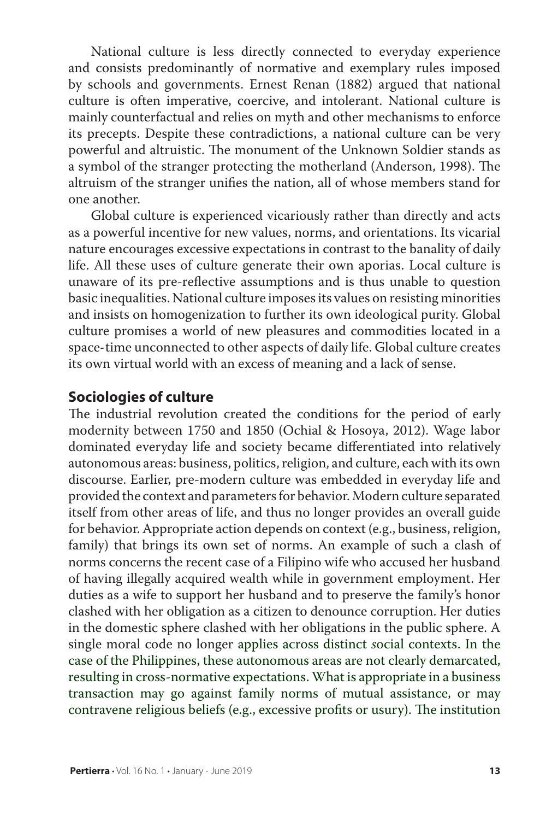National culture is less directly connected to everyday experience and consists predominantly of normative and exemplary rules imposed by schools and governments. Ernest Renan (1882) argued that national culture is often imperative, coercive, and intolerant. National culture is mainly counterfactual and relies on myth and other mechanisms to enforce its precepts. Despite these contradictions, a national culture can be very powerful and altruistic. The monument of the Unknown Soldier stands as a symbol of the stranger protecting the motherland (Anderson, 1998). The altruism of the stranger unifies the nation, all of whose members stand for one another.

Global culture is experienced vicariously rather than directly and acts as a powerful incentive for new values, norms, and orientations. Its vicarial nature encourages excessive expectations in contrast to the banality of daily life. All these uses of culture generate their own aporias. Local culture is unaware of its pre-reflective assumptions and is thus unable to question basic inequalities. National culture imposes its values on resisting minorities and insists on homogenization to further its own ideological purity. Global culture promises a world of new pleasures and commodities located in a space-time unconnected to other aspects of daily life. Global culture creates its own virtual world with an excess of meaning and a lack of sense.

#### **Sociologies of culture**

The industrial revolution created the conditions for the period of early modernity between 1750 and 1850 (Ochial & Hosoya, 2012). Wage labor dominated everyday life and society became differentiated into relatively autonomous areas: business, politics, religion, and culture, each with its own discourse. Earlier, pre-modern culture was embedded in everyday life and provided the context and parameters for behavior. Modern culture separated itself from other areas of life, and thus no longer provides an overall guide for behavior. Appropriate action depends on context (e.g., business, religion, family) that brings its own set of norms. An example of such a clash of norms concerns the recent case of a Filipino wife who accused her husband of having illegally acquired wealth while in government employment. Her duties as a wife to support her husband and to preserve the family's honor clashed with her obligation as a citizen to denounce corruption. Her duties in the domestic sphere clashed with her obligations in the public sphere. A single moral code no longer applies across distinct *s*ocial contexts. In the case of the Philippines, these autonomous areas are not clearly demarcated, resulting in cross-normative expectations. What is appropriate in a business transaction may go against family norms of mutual assistance, or may contravene religious beliefs (e.g., excessive profits or usury). The institution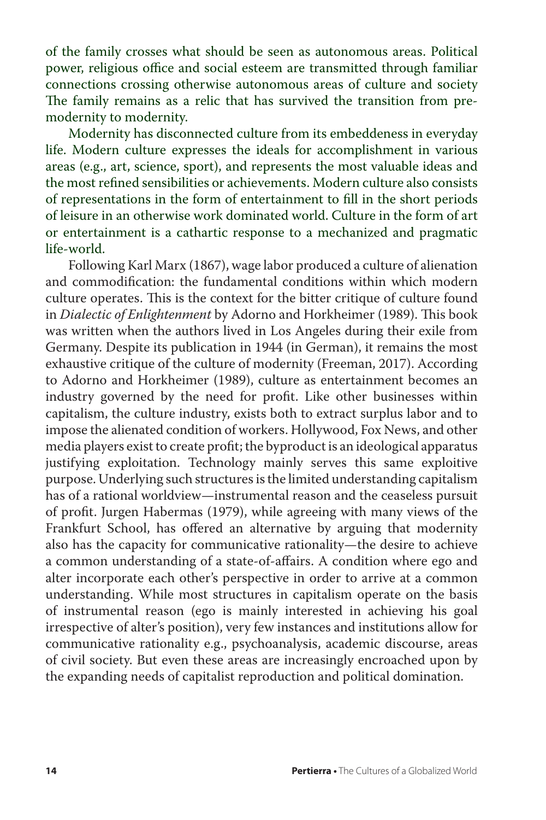of the family crosses what should be seen as autonomous areas. Political power, religious office and social esteem are transmitted through familiar connections crossing otherwise autonomous areas of culture and society The family remains as a relic that has survived the transition from premodernity to modernity.

Modernity has disconnected culture from its embeddeness in everyday life. Modern culture expresses the ideals for accomplishment in various areas (e.g., art, science, sport), and represents the most valuable ideas and the most refined sensibilities or achievements. Modern culture also consists of representations in the form of entertainment to fill in the short periods of leisure in an otherwise work dominated world. Culture in the form of art or entertainment is a cathartic response to a mechanized and pragmatic life-world.

Following Karl Marx (1867), wage labor produced a culture of alienation and commodification: the fundamental conditions within which modern culture operates. This is the context for the bitter critique of culture found in *Dialectic of Enlightenment* by Adorno and Horkheimer (1989). This book was written when the authors lived in Los Angeles during their exile from Germany. Despite its publication in 1944 (in German), it remains the most exhaustive critique of the culture of modernity (Freeman, 2017). According to Adorno and Horkheimer (1989), culture as entertainment becomes an industry governed by the need for profit. Like other businesses within capitalism, the culture industry, exists both to extract surplus labor and to impose the alienated condition of workers. Hollywood, Fox News, and other media players exist to create profit; the byproduct is an ideological apparatus justifying exploitation. Technology mainly serves this same exploitive purpose. Underlying such structures is the limited understanding capitalism has of a rational worldview—instrumental reason and the ceaseless pursuit of profit. Jurgen Habermas (1979), while agreeing with many views of the Frankfurt School, has offered an alternative by arguing that modernity also has the capacity for communicative rationality—the desire to achieve a common understanding of a state-of-affairs. A condition where ego and alter incorporate each other's perspective in order to arrive at a common understanding. While most structures in capitalism operate on the basis of instrumental reason (ego is mainly interested in achieving his goal irrespective of alter's position), very few instances and institutions allow for communicative rationality e.g., psychoanalysis, academic discourse, areas of civil society. But even these areas are increasingly encroached upon by the expanding needs of capitalist reproduction and political domination.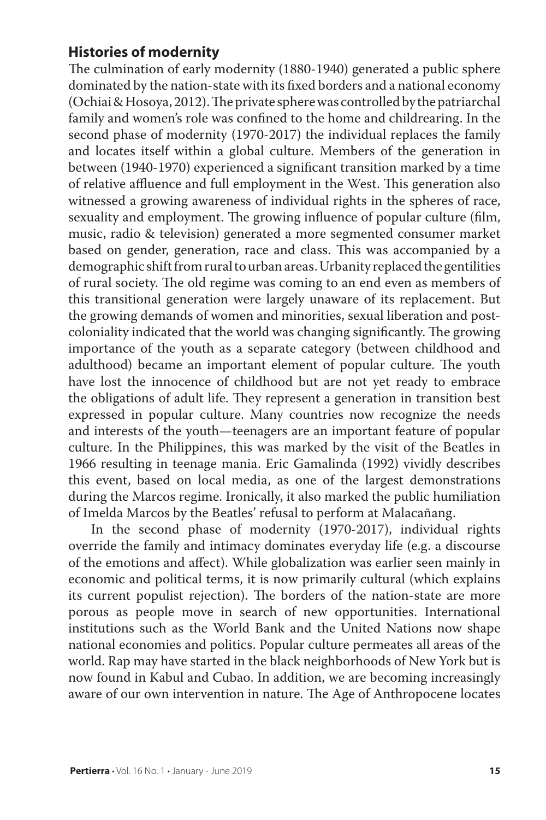# **Histories of modernity**

The culmination of early modernity (1880-1940) generated a public sphere dominated by the nation-state with its fixed borders and a national economy (Ochiai & Hosoya, 2012). The private sphere was controlled by the patriarchal family and women's role was confined to the home and childrearing. In the second phase of modernity (1970-2017) the individual replaces the family and locates itself within a global culture. Members of the generation in between (1940-1970) experienced a significant transition marked by a time of relative affluence and full employment in the West. This generation also witnessed a growing awareness of individual rights in the spheres of race, sexuality and employment. The growing influence of popular culture (film, music, radio & television) generated a more segmented consumer market based on gender, generation, race and class. This was accompanied by a demographic shift from rural to urban areas. Urbanity replaced the gentilities of rural society. The old regime was coming to an end even as members of this transitional generation were largely unaware of its replacement. But the growing demands of women and minorities, sexual liberation and postcoloniality indicated that the world was changing significantly. The growing importance of the youth as a separate category (between childhood and adulthood) became an important element of popular culture. The youth have lost the innocence of childhood but are not yet ready to embrace the obligations of adult life. They represent a generation in transition best expressed in popular culture. Many countries now recognize the needs and interests of the youth—teenagers are an important feature of popular culture. In the Philippines, this was marked by the visit of the Beatles in 1966 resulting in teenage mania. Eric Gamalinda (1992) vividly describes this event, based on local media, as one of the largest demonstrations during the Marcos regime. Ironically, it also marked the public humiliation of Imelda Marcos by the Beatles' refusal to perform at Malacañang.

In the second phase of modernity (1970-2017), individual rights override the family and intimacy dominates everyday life (e.g. a discourse of the emotions and affect). While globalization was earlier seen mainly in economic and political terms, it is now primarily cultural (which explains its current populist rejection). The borders of the nation-state are more porous as people move in search of new opportunities. International institutions such as the World Bank and the United Nations now shape national economies and politics. Popular culture permeates all areas of the world. Rap may have started in the black neighborhoods of New York but is now found in Kabul and Cubao. In addition, we are becoming increasingly aware of our own intervention in nature. The Age of Anthropocene locates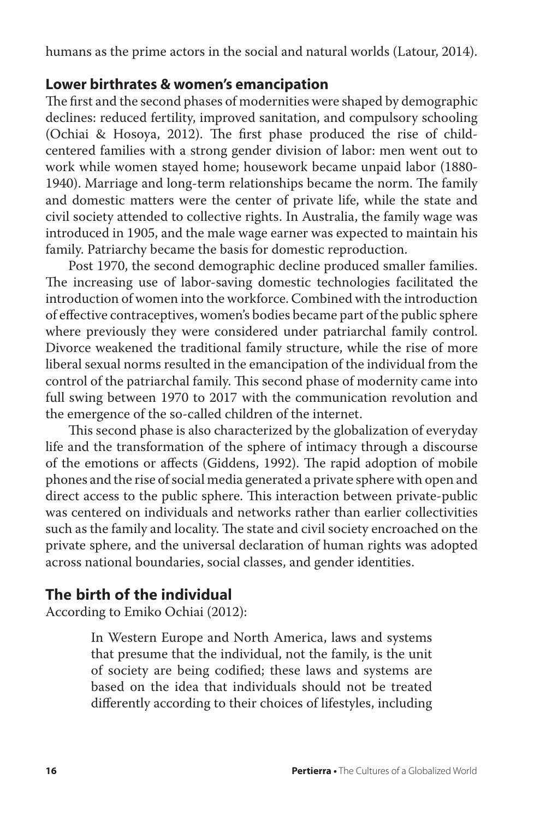humans as the prime actors in the social and natural worlds (Latour, 2014).

## **Lower birthrates & women's emancipation**

The first and the second phases of modernities were shaped by demographic declines: reduced fertility, improved sanitation, and compulsory schooling (Ochiai & Hosoya, 2012). The first phase produced the rise of childcentered families with a strong gender division of labor: men went out to work while women stayed home; housework became unpaid labor (1880- 1940). Marriage and long-term relationships became the norm. The family and domestic matters were the center of private life, while the state and civil society attended to collective rights. In Australia, the family wage was introduced in 1905, and the male wage earner was expected to maintain his family. Patriarchy became the basis for domestic reproduction.

Post 1970, the second demographic decline produced smaller families. The increasing use of labor-saving domestic technologies facilitated the introduction of women into the workforce. Combined with the introduction of effective contraceptives, women's bodies became part of the public sphere where previously they were considered under patriarchal family control. Divorce weakened the traditional family structure, while the rise of more liberal sexual norms resulted in the emancipation of the individual from the control of the patriarchal family. This second phase of modernity came into full swing between 1970 to 2017 with the communication revolution and the emergence of the so-called children of the internet.

This second phase is also characterized by the globalization of everyday life and the transformation of the sphere of intimacy through a discourse of the emotions or affects (Giddens, 1992). The rapid adoption of mobile phones and the rise of social media generated a private sphere with open and direct access to the public sphere. This interaction between private-public was centered on individuals and networks rather than earlier collectivities such as the family and locality. The state and civil society encroached on the private sphere, and the universal declaration of human rights was adopted across national boundaries, social classes, and gender identities.

## **The birth of the individual**

According to Emiko Ochiai (2012):

In Western Europe and North America, laws and systems that presume that the individual, not the family, is the unit of society are being codified; these laws and systems are based on the idea that individuals should not be treated differently according to their choices of lifestyles, including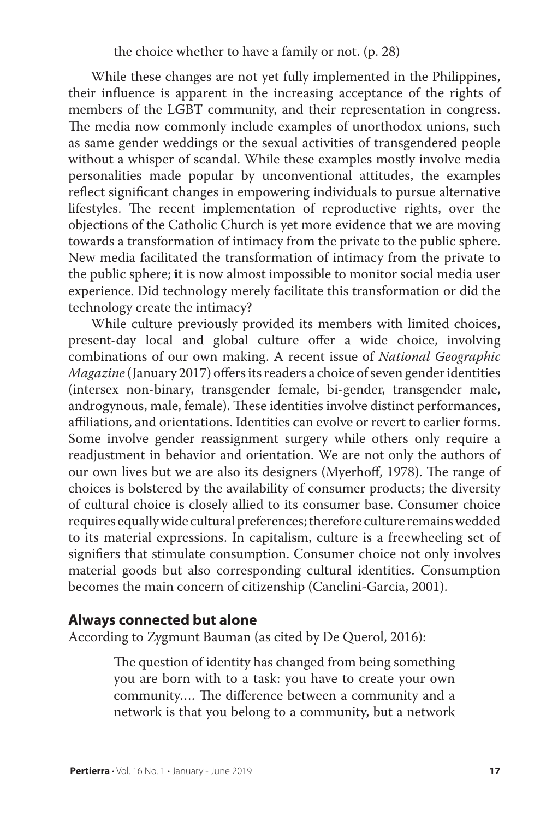While these changes are not yet fully implemented in the Philippines, their influence is apparent in the increasing acceptance of the rights of members of the LGBT community, and their representation in congress. The media now commonly include examples of unorthodox unions, such as same gender weddings or the sexual activities of transgendered people without a whisper of scandal. While these examples mostly involve media personalities made popular by unconventional attitudes, the examples reflect significant changes in empowering individuals to pursue alternative lifestyles. The recent implementation of reproductive rights, over the objections of the Catholic Church is yet more evidence that we are moving towards a transformation of intimacy from the private to the public sphere. New media facilitated the transformation of intimacy from the private to the public sphere; **i**t is now almost impossible to monitor social media user experience. Did technology merely facilitate this transformation or did the technology create the intimacy?

While culture previously provided its members with limited choices, present-day local and global culture offer a wide choice, involving combinations of our own making. A recent issue of *National Geographic Magazine* (January 2017) offers its readers a choice of seven gender identities (intersex non-binary, transgender female, bi-gender, transgender male, androgynous, male, female). These identities involve distinct performances, affiliations, and orientations. Identities can evolve or revert to earlier forms. Some involve gender reassignment surgery while others only require a readjustment in behavior and orientation. We are not only the authors of our own lives but we are also its designers (Myerhoff, 1978). The range of choices is bolstered by the availability of consumer products; the diversity of cultural choice is closely allied to its consumer base. Consumer choice requires equally wide cultural preferences; therefore culture remains wedded to its material expressions. In capitalism, culture is a freewheeling set of signifiers that stimulate consumption. Consumer choice not only involves material goods but also corresponding cultural identities. Consumption becomes the main concern of citizenship (Canclini-Garcia, 2001).

#### **Always connected but alone**

According to Zygmunt Bauman (as cited by De Querol, 2016):

The question of identity has changed from being something you are born with to a task: you have to create your own community…. The difference between a community and a network is that you belong to a community, but a network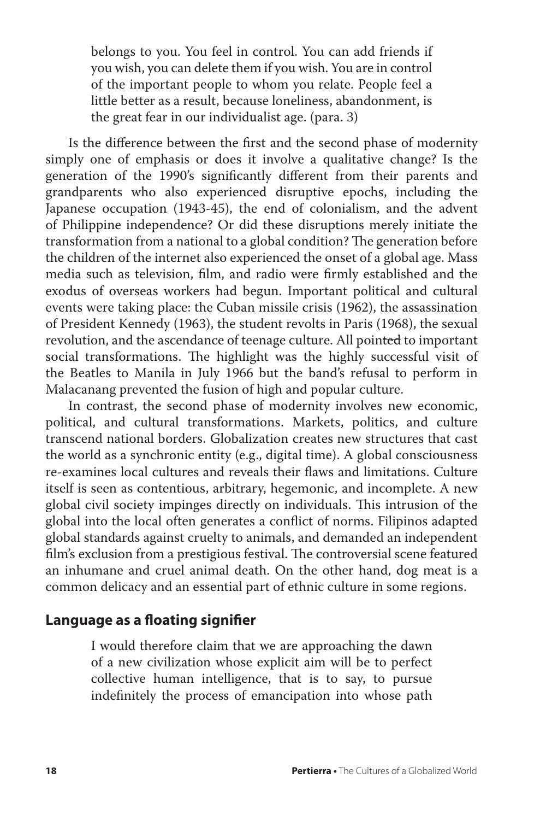belongs to you. You feel in control. You can add friends if you wish, you can delete them if you wish. You are in control of the important people to whom you relate. People feel a little better as a result, because loneliness, abandonment, is the great fear in our individualist age. (para. 3)

Is the difference between the first and the second phase of modernity simply one of emphasis or does it involve a qualitative change? Is the generation of the 1990's significantly different from their parents and grandparents who also experienced disruptive epochs, including the Japanese occupation (1943-45), the end of colonialism, and the advent of Philippine independence? Or did these disruptions merely initiate the transformation from a national to a global condition? The generation before the children of the internet also experienced the onset of a global age. Mass media such as television, film, and radio were firmly established and the exodus of overseas workers had begun. Important political and cultural events were taking place: the Cuban missile crisis (1962), the assassination of President Kennedy (1963), the student revolts in Paris (1968), the sexual revolution, and the ascendance of teenage culture. All pointed to important social transformations. The highlight was the highly successful visit of the Beatles to Manila in July 1966 but the band's refusal to perform in Malacanang prevented the fusion of high and popular culture.

In contrast, the second phase of modernity involves new economic, political, and cultural transformations. Markets, politics, and culture transcend national borders. Globalization creates new structures that cast the world as a synchronic entity (e.g., digital time). A global consciousness re-examines local cultures and reveals their flaws and limitations. Culture itself is seen as contentious, arbitrary, hegemonic, and incomplete. A new global civil society impinges directly on individuals. This intrusion of the global into the local often generates a conflict of norms. Filipinos adapted global standards against cruelty to animals, and demanded an independent film's exclusion from a prestigious festival. The controversial scene featured an inhumane and cruel animal death. On the other hand, dog meat is a common delicacy and an essential part of ethnic culture in some regions.

# **Language as a floating signifier**

I would therefore claim that we are approaching the dawn of a new civilization whose explicit aim will be to perfect collective human intelligence, that is to say, to pursue indefinitely the process of emancipation into whose path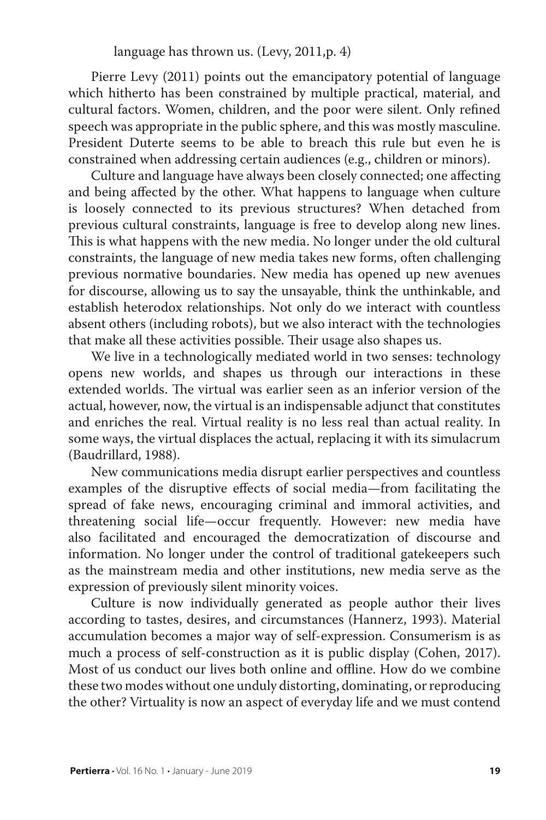language has thrown us. (Levy, 2011,p. 4)

Pierre Levy (2011) points out the emancipatory potential of language which hitherto has been constrained by multiple practical, material, and cultural factors. Women, children, and the poor were silent. Only refined speech was appropriate in the public sphere, and this was mostly masculine. President Duterte seems to be able to breach this rule but even he is constrained when addressing certain audiences (e.g., children or minors).

Culture and language have always been closely connected; one affecting and being affected by the other. What happens to language when culture is loosely connected to its previous structures? When detached from previous cultural constraints, language is free to develop along new lines. This is what happens with the new media. No longer under the old cultural constraints, the language of new media takes new forms, often challenging previous normative boundaries. New media has opened up new avenues for discourse, allowing us to say the unsayable, think the unthinkable, and establish heterodox relationships. Not only do we interact with countless absent others (including robots), but we also interact with the technologies that make all these activities possible. Their usage also shapes us.

We live in a technologically mediated world in two senses: technology opens new worlds, and shapes us through our interactions in these extended worlds. The virtual was earlier seen as an inferior version of the actual, however, now, the virtual is an indispensable adjunct that constitutes and enriches the real. Virtual reality is no less real than actual reality. In some ways, the virtual displaces the actual, replacing it with its simulacrum (Baudrillard, 1988).

New communications media disrupt earlier perspectives and countless examples of the disruptive effects of social media—from facilitating the spread of fake news, encouraging criminal and immoral activities, and threatening social life—occur frequently. However: new media have also facilitated and encouraged the democratization of discourse and information. No longer under the control of traditional gatekeepers such as the mainstream media and other institutions, new media serve as the expression of previously silent minority voices.

Culture is now individually generated as people author their lives according to tastes, desires, and circumstances (Hannerz, 1993). Material accumulation becomes a major way of self-expression. Consumerism is as much a process of self-construction as it is public display (Cohen, 2017). Most of us conduct our lives both online and offline. How do we combine these two modes without one unduly distorting, dominating, or reproducing the other? Virtuality is now an aspect of everyday life and we must contend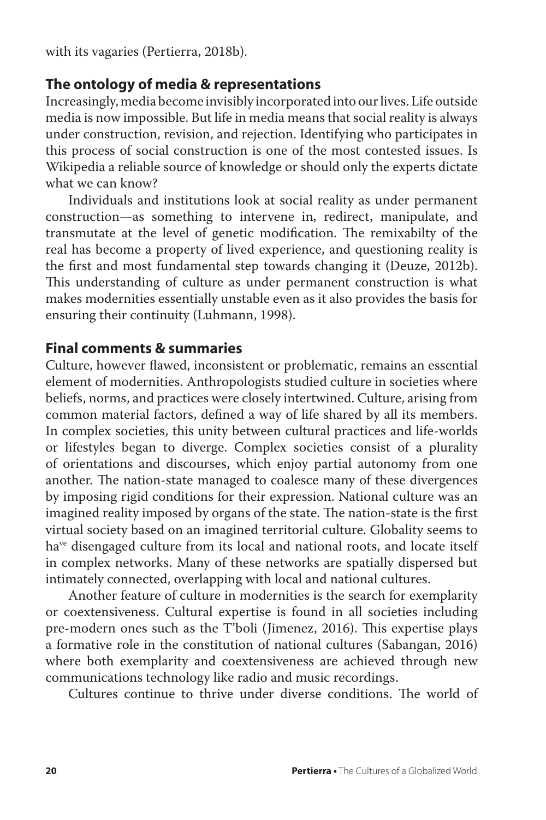with its vagaries (Pertierra, 2018b).

## **The ontology of media & representations**

Increasingly, media become invisibly incorporated into our lives. Life outside media is now impossible. But life in media means that social reality is always under construction, revision, and rejection. Identifying who participates in this process of social construction is one of the most contested issues. Is Wikipedia a reliable source of knowledge or should only the experts dictate what we can know?

Individuals and institutions look at social reality as under permanent construction—as something to intervene in, redirect, manipulate, and transmutate at the level of genetic modification. The remixabilty of the real has become a property of lived experience, and questioning reality is the first and most fundamental step towards changing it (Deuze, 2012b). This understanding of culture as under permanent construction is what makes modernities essentially unstable even as it also provides the basis for ensuring their continuity (Luhmann, 1998).

## **Final comments & summaries**

Culture, however flawed, inconsistent or problematic, remains an essential element of modernities. Anthropologists studied culture in societies where beliefs, norms, and practices were closely intertwined. Culture, arising from common material factors, defined a way of life shared by all its members. In complex societies, this unity between cultural practices and life-worlds or lifestyles began to diverge. Complex societies consist of a plurality of orientations and discourses, which enjoy partial autonomy from one another. The nation-state managed to coalesce many of these divergences by imposing rigid conditions for their expression. National culture was an imagined reality imposed by organs of the state. The nation-state is the first virtual society based on an imagined territorial culture. Globality seems to ha<sup>ve</sup> disengaged culture from its local and national roots, and locate itself in complex networks. Many of these networks are spatially dispersed but intimately connected, overlapping with local and national cultures.

Another feature of culture in modernities is the search for exemplarity or coextensiveness. Cultural expertise is found in all societies including pre-modern ones such as the T'boli (Jimenez, 2016). This expertise plays a formative role in the constitution of national cultures (Sabangan, 2016) where both exemplarity and coextensiveness are achieved through new communications technology like radio and music recordings.

Cultures continue to thrive under diverse conditions. The world of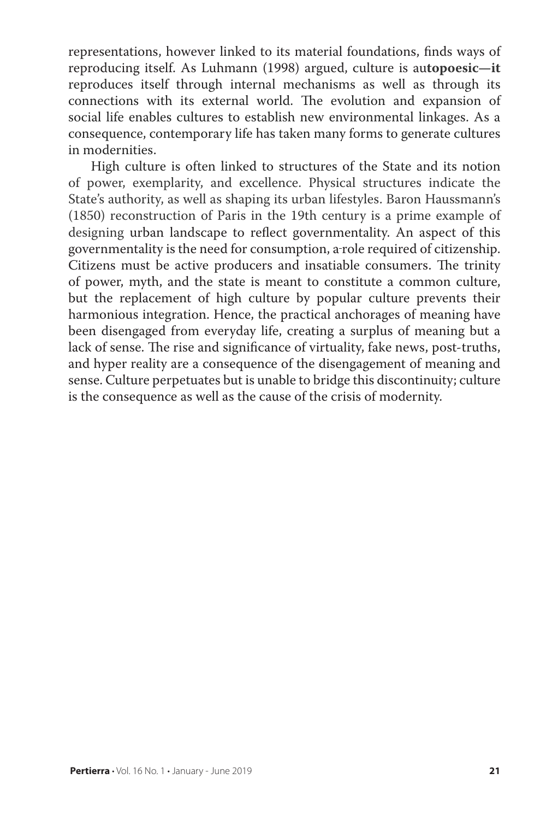representations, however linked to its material foundations, finds ways of reproducing itself. As Luhmann (1998) argued, culture is au**topoesic—it** reproduces itself through internal mechanisms as well as through its connections with its external world. The evolution and expansion of social life enables cultures to establish new environmental linkages. As a consequence, contemporary life has taken many forms to generate cultures in modernities.

High culture is often linked to structures of the State and its notion of power, exemplarity, and excellence. Physical structures indicate the State's authority, as well as shaping its urban lifestyles. Baron Haussmann's (1850) reconstruction of Paris in the 19th century is a prime example of designing urban landscape to reflect governmentality. An aspect of this governmentality is the need for consumption, a role required of citizenship. Citizens must be active producers and insatiable consumers. The trinity of power, myth, and the state is meant to constitute a common culture, but the replacement of high culture by popular culture prevents their harmonious integration. Hence, the practical anchorages of meaning have been disengaged from everyday life, creating a surplus of meaning but a lack of sense. The rise and significance of virtuality, fake news, post-truths, and hyper reality are a consequence of the disengagement of meaning and sense. Culture perpetuates but is unable to bridge this discontinuity; culture is the consequence as well as the cause of the crisis of modernity.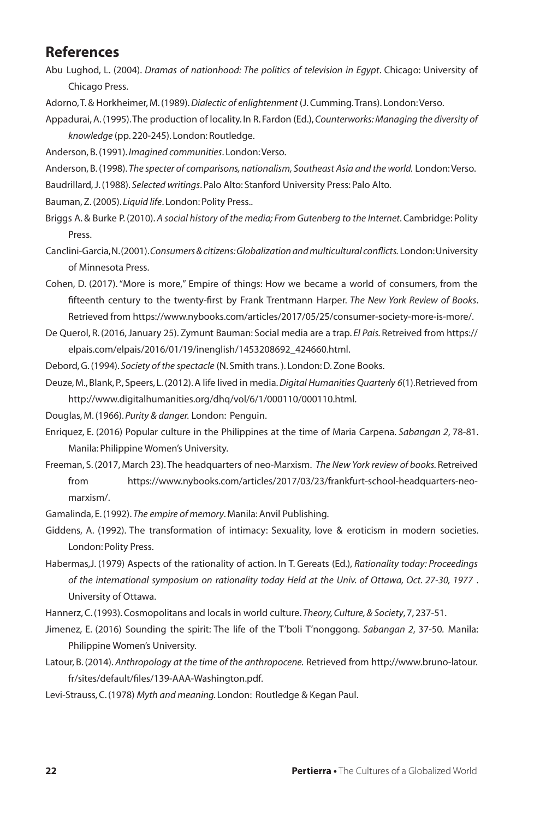#### **References**

- Abu Lughod, L. (2004). *Dramas of nationhood: The politics of television in Egypt*. Chicago: University of Chicago Press.
- Adorno, T. & Horkheimer, M. (1989). *Dialectic of enlightenment* (J. Cumming. Trans). London: Verso.
- Appadurai, A. (1995). The production of locality. In R. Fardon (Ed.), *Counterworks: Managing the diversity of knowledge* (pp. 220-245). London: Routledge.

Anderson, B. (1991). *Imagined communities*. London: Verso.

Anderson, B. (1998). *The specter of comparisons, nationalism, Southeast Asia and the world.* London: Verso.

Baudrillard, J. (1988). *Selected writings*. Palo Alto: Stanford University Press: Palo Alto.

Bauman, Z. (2005). *Liquid life*. London: Polity Press..

Briggs A. & Burke P. (2010). *A social history of the media; From Gutenberg to the Internet*. Cambridge: Polity Press.

Canclini-Garcia, N. (2001). *Consumers & citizens: Globalization and multicultural conflicts.* London: University of Minnesota Press.

Cohen, D. (2017). "More is more," Empire of things: How we became a world of consumers, from the fifteenth century to the twenty-first by Frank Trentmann Harper. *The New York Review of Books*. Retrieved from https://www.nybooks.com/articles/2017/05/25/consumer-society-more-is-more/.

- De Querol, R. (2016, January 25). Zymunt Bauman: Social media are a trap. *El Pais.* Retreived from https:// elpais.com/elpais/2016/01/19/inenglish/1453208692\_424660.html.
- Debord, G. (1994). *Society of the spectacle* (N. Smith trans. ). London: D. Zone Books.
- Deuze, M., Blank, P., Speers, L. (2012). A life lived in media. *Digital Humanities Quarterly 6*(1).Retrieved from http://www.digitalhumanities.org/dhq/vol/6/1/000110/000110.html.

Douglas, M. (1966). *Purity & danger.* London: Penguin.

- Enriquez, E. (2016) Popular culture in the Philippines at the time of Maria Carpena. *Sabangan 2*, 78-81. Manila: Philippine Women's University.
- Freeman, S. (2017, March 23). The headquarters of neo-Marxism. *The New York review of books.* Retreived from https://www.nybooks.com/articles/2017/03/23/frankfurt-school-headquarters-neomarxism/.

Gamalinda, E. (1992). *The empire of memory*. Manila: Anvil Publishing.

Giddens, A. (1992). The transformation of intimacy: Sexuality, love & eroticism in modern societies. London: Polity Press.

Habermas,J. (1979) Aspects of the rationality of action. In T. Gereats (Ed.), *Rationality today: Proceedings of the international symposium on rationality today Held at the Univ. of Ottawa, Oct. 27-30, 1977* . University of Ottawa.

Hannerz, C. (1993). Cosmopolitans and locals in world culture. *Theory, Culture, & Society*, 7, 237-51.

- Jimenez, E. (2016) Sounding the spirit: The life of the T'boli T'nonggong. *Sabangan 2*, 37-50*.* Manila: Philippine Women's University.
- Latour, B. (2014). *Anthropology at the time of the anthropocene.* Retrieved from http://www.bruno-latour. fr/sites/default/files/139-AAA-Washington.pdf.

Levi-Strauss, C. (1978) *Myth and meaning.* London: Routledge & Kegan Paul.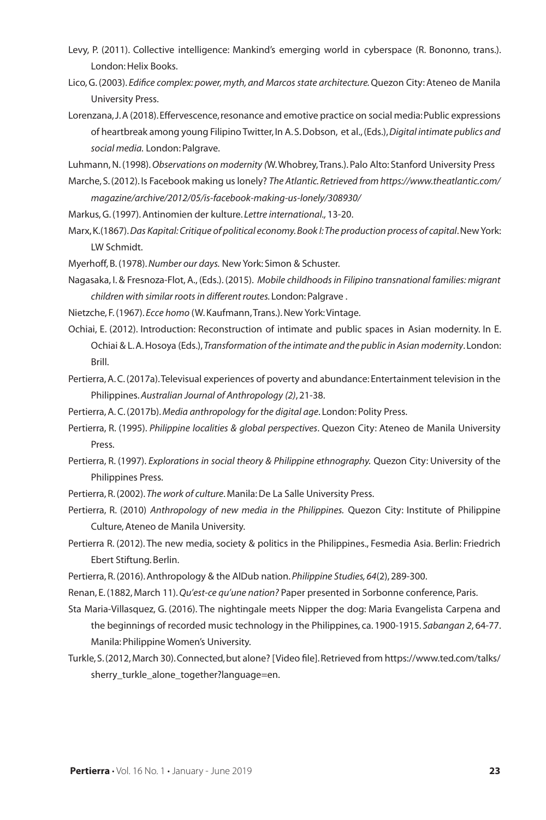- Levy, P. (2011). Collective intelligence: Mankind's emerging world in cyberspace (R. Bononno, trans.). London: Helix Books.
- Lico, G. (2003). *Edifice complex: power, myth, and Marcos state architecture.* Quezon City: Ateneo de Manila University Press.
- Lorenzana, J. A (2018). Effervescence, resonance and emotive practice on social media: Public expressions of heartbreak among young Filipino Twitter, In A. S. Dobson, et al., (Eds.), *Digital intimate publics and social media.* London: Palgrave.

Luhmann, N. (1998). *Observations on modernity (*W. Whobrey, Trans.). Palo Alto: Stanford University Press

Marche, S. (2012). Is Facebook making us lonely? *The Atlantic. Retrieved from https://www.theatlantic.com/ magazine/archive/2012/05/is-facebook-making-us-lonely/308930/*

Markus, G. (1997). Antinomien der kulture. *Lettre international.,* 13-20.

Marx, K.(1867). *Das Kapital: Critique of political economy.Book I: The production process of capital*. New York: LW Schmidt.

Myerhoff, B. (1978). *Number our days.* New York: Simon & Schuster.

Nagasaka, I. & Fresnoza-Flot, A., (Eds.). (2015). *Mobile childhoods in Filipino transnational families: migrant children with similar roots in different routes.* London: Palgrave .

- Nietzche, F. (1967). *Ecce homo* (W. Kaufmann, Trans.). New York: Vintage.
- Ochiai, E. (2012). Introduction: Reconstruction of intimate and public spaces in Asian modernity. In E. Ochiai & L. A. Hosoya (Eds.), *Transformation of the intimate and the public in Asian modernity*. London: Brill.
- Pertierra, A. C. (2017a). Televisual experiences of poverty and abundance: Entertainment television in the Philippines. *Australian Journal of Anthropology (2)*, 21-38.

Pertierra, A. C. (2017b). *Media anthropology for the digital age*. London: Polity Press.

- Pertierra, R. (1995). *Philippine localities & global perspectives*. Quezon City: Ateneo de Manila University Press.
- Pertierra, R. (1997). *Explorations in social theory & Philippine ethnography.* Quezon City: University of the Philippines Press.
- Pertierra, R. (2002). *The work of culture*. Manila: De La Salle University Press.
- Pertierra, R. (2010) *Anthropology of new media in the Philippines.* Quezon City: Institute of Philippine Culture, Ateneo de Manila University.
- Pertierra R. (2012). The new media, society & politics in the Philippines., Fesmedia Asia. Berlin: Friedrich Ebert Stiftung. Berlin.
- Pertierra, R. (2016). Anthropology & the AlDub nation. *Philippine Studies, 64*(2), 289-300.
- Renan, E. (1882, March 11). *Qu'est-ce qu'une nation?* Paper presented in Sorbonne conference, Paris.
- Sta Maria-Villasquez, G. (2016). The nightingale meets Nipper the dog: Maria Evangelista Carpena and the beginnings of recorded music technology in the Philippines, ca. 1900-1915. *Sabangan 2*, 64-77. Manila: Philippine Women's University.
- Turkle, S. (2012, March 30). Connected, but alone? [Video file]. Retrieved from https://www.ted.com/talks/ sherry\_turkle\_alone\_together?language=en.